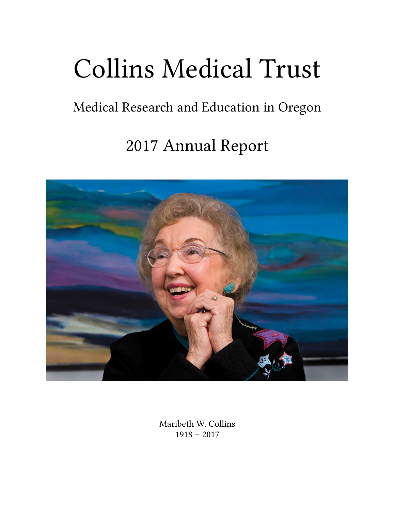# Collins Medical Trust

## Medical Research and Education in Oregon

# 2017 Annual Report



Maribeth W. Collins 1918 – 2017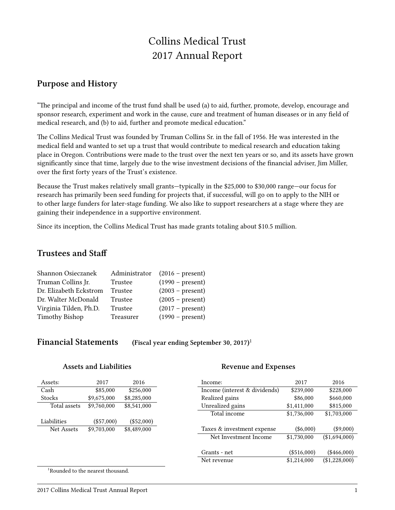### Collins Medical Trust 2017 Annual Report

#### **Purpose and History**

"The principal and income of the trust fund shall be used (a) to aid, further, promote, develop, encourage and sponsor research, experiment and work in the cause, cure and treatment of human diseases or in any field of medical research, and (b) to aid, further and promote medical education."

The Collins Medical Trust was founded by Truman Collins Sr. in the fall of 1956. He was interested in the medical field and wanted to set up a trust that would contribute to medical research and education taking place in Oregon. Contributions were made to the trust over the next ten years or so, and its assets have grown significantly since that time, largely due to the wise investment decisions of the financial adviser, Jim Miller, over the first forty years of the Trust's existence.

Because the Trust makes relatively small grants—typically in the \$25,000 to \$30,000 range—our focus for research has primarily been seed funding for projects that, if successful, will go on to apply to the NIH or to other large funders for later-stage funding. We also like to support researchers at a stage where they are gaining their independence in a supportive environment.

Since its inception, the Collins Medical Trust has made grants totaling about \$10.5 million.

#### **Trustees and Staff**

| Shannon Osieczanek     | Administrator | $(2016 - present)$ |
|------------------------|---------------|--------------------|
| Truman Collins Jr.     | Trustee       | $(1990 - present)$ |
| Dr. Elizabeth Eckstrom | Trustee       | $(2003 - present)$ |
| Dr. Walter McDonald    | Trustee       | $(2005 - present)$ |
| Virginia Tilden, Ph.D. | Trustee       | $(2017 - present)$ |
| <b>Timothy Bishop</b>  | Treasurer     | $(1990 - present)$ |

| <b>Financial Statements</b> | (Fiscal year ending September 30, 2017) <sup>1</sup> |
|-----------------------------|------------------------------------------------------|
|-----------------------------|------------------------------------------------------|

#### **Assets and Liabilities**

#### **Revenue and Expenses**

| Assets:      | 2017         | 2016         | Income:                       | 2017        | 2016          |
|--------------|--------------|--------------|-------------------------------|-------------|---------------|
| Cash         | \$85,000     | \$256,000    | Income (interest & dividends) | \$239,000   | \$228,000     |
| Stocks       | \$9,675,000  | \$8,285,000  | Realized gains                | \$86,000    | \$660,000     |
| Total assets | \$9,760,000  | \$8,541,000  | Unrealized gains              | \$1,411,000 | \$815,000     |
|              |              |              | Total income                  | \$1,736,000 | \$1,703,000   |
| Liabilities  | $(\$57,000)$ | $(\$52,000)$ |                               |             |               |
| Net Assets   | \$9,703,000  | \$8,489,000  | Taxes & investment expense    | $(\$6,000)$ | $(\$9,000)$   |
|              |              |              | Net Investment Income         | \$1,730,000 | (\$1,694,000) |
|              |              |              |                               |             |               |
|              |              |              | Grants - net                  | (\$516,000) | $(\$466,000)$ |
|              |              |              | Net revenue                   | \$1,214,000 | (\$1,228,000) |

<sup>1</sup>Rounded to the nearest thousand.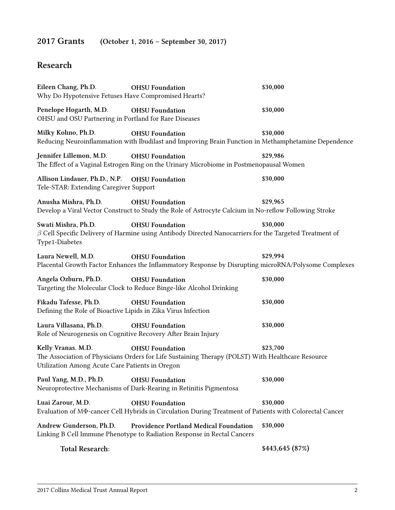### **2017 Grants (October 1, 2016 – September 30, 2017)**

#### **Research**

| Eileen Chang, Ph.D.<br>Why Do Hypotensive Fetuses Have Compromised Hearts?              | <b>OHSU</b> Foundation                                                                                                                   | \$30,000        |
|-----------------------------------------------------------------------------------------|------------------------------------------------------------------------------------------------------------------------------------------|-----------------|
| Penelope Hogarth, M.D.<br>OHSU and OSU Partnering in Portland for Rare Diseases         | <b>OHSU Foundation</b>                                                                                                                   | \$30,000        |
| Milky Kohno, Ph.D.                                                                      | <b>OHSU Foundation</b><br>Reducing Neuroinflammation with Ibudilast and Improving Brain Function in Methamphetamine Dependence           | \$30,000        |
| Jennifer Lillemon, M.D.                                                                 | <b>OHSU</b> Foundation<br>The Effect of a Vaginal Estrogen Ring on the Urinary Microbiome in Postmenopausal Women                        | \$29,986        |
| Allison Lindauer, Ph.D., N.P.<br>Tele-STAR: Extending Caregiver Support                 | <b>OHSU</b> Foundation                                                                                                                   | \$30,000        |
| Anusha Mishra, Ph.D.                                                                    | <b>OHSU</b> Foundation<br>Develop a Viral Vector Construct to Study the Role of Astrocyte Calcium in No-reflow Following Stroke          | \$29,965        |
| Swati Mishra, Ph.D.<br>Type1-Diabetes                                                   | <b>OHSU</b> Foundation<br>$\beta$ Cell Specific Delivery of Harmine using Antibody Directed Nanocarriers for the Targeted Treatment of   | \$30,000        |
| Laura Newell, M.D.                                                                      | <b>OHSU</b> Foundation<br>Placental Growth Factor Enhances the Inflammatory Response by Disrupting microRNA/Polysome Complexes           | \$29,994        |
| Angela Ozburn, Ph.D.                                                                    | <b>OHSU</b> Foundation<br>Targeting the Molecular Clock to Reduce Binge-like Alcohol Drinking                                            | \$30,000        |
| Fikadu Tafesse, Ph.D.<br>Defining the Role of Bioactive Lipids in Zika Virus Infection  | <b>OHSU</b> Foundation                                                                                                                   | \$30,000        |
| Laura Villasana, Ph.D.<br>Role of Neurogenesis on Cognitive Recovery After Brain Injury | <b>OHSU</b> Foundation                                                                                                                   | \$30,000        |
| Kelly Vranas. M.D.<br>Utilization Among Acute Care Patients in Oregon                   | <b>OHSU</b> Foundation<br>The Association of Physicians Orders for Life Sustaining Therapy (POLST) With Healthcare Resource              | \$23,700        |
| Paul Yang, M.D., Ph.D.                                                                  | <b>OHSU Foundation</b><br>Neuroprotective Mechanisms of Dark-Rearing in Retinitis Pigmentosa                                             | \$30,000        |
| Luai Zarour, M.D.                                                                       | <b>OHSU</b> Foundation<br>Evaluation of M $\Phi$ -cancer Cell Hybrids in Circulation During Treatment of Patients with Colorectal Cancer | \$30,000        |
| Andrew Gunderson, Ph.D.                                                                 | Providence Portland Medical Foundation<br>Linking B Cell Immune Phenotype to Radiation Response in Rectal Cancers                        | \$30,000        |
| <b>Total Research:</b>                                                                  |                                                                                                                                          | \$443,645 (87%) |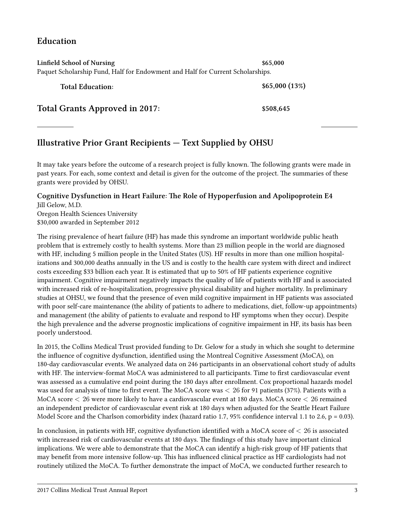#### **Education**

| Linfield School of Nursing<br>\$65,000<br>Paquet Scholarship Fund, Half for Endowment and Half for Current Scholarships. |               |  |  |
|--------------------------------------------------------------------------------------------------------------------------|---------------|--|--|
| <b>Total Education:</b>                                                                                                  | \$65,000(13%) |  |  |
| <b>Total Grants Approved in 2017:</b>                                                                                    | \$508,645     |  |  |

#### **Illustrative Prior Grant Recipients — Text Supplied by OHSU**

It may take years before the outcome of a research project is fully known. The following grants were made in past years. For each, some context and detail is given for the outcome of the project. The summaries of these grants were provided by OHSU.

#### **Cognitive Dysfunction in Heart Failure: The Role of Hypoperfusion and Apolipoprotein E4** Jill Gelow, M.D.

Oregon Health Sciences University \$30,000 awarded in September 2012

The rising prevalence of heart failure (HF) has made this syndrome an important worldwide public heath problem that is extremely costly to health systems. More than 23 million people in the world are diagnosed with HF, including 5 million people in the United States (US). HF results in more than one million hospitalizations and 300,000 deaths annually in the US and is costly to the health care system with direct and indirect costs exceeding \$33 billion each year. It is estimated that up to 50% of HF patients experience cognitive impairment. Cognitive impairment negatively impacts the quality of life of patients with HF and is associated with increased risk of re-hospitalization, progressive physical disability and higher mortality. In preliminary studies at OHSU, we found that the presence of even mild cognitive impairment in HF patients was associated with poor self-care maintenance (the ability of patients to adhere to medications, diet, follow-up appointments) and management (the ability of patients to evaluate and respond to HF symptoms when they occur). Despite the high prevalence and the adverse prognostic implications of cognitive impairment in HF, its basis has been poorly understood.

In 2015, the Collins Medical Trust provided funding to Dr. Gelow for a study in which she sought to determine the influence of cognitive dysfunction, identified using the Montreal Cognitive Assessment (MoCA), on 180-day cardiovascular events. We analyzed data on 246 participants in an observational cohort study of adults with HF. The interview-format MoCA was administered to all participants. Time to first cardiovascular event was assessed as a cumulative end point during the 180 days after enrollment. Cox proportional hazards model was used for analysis of time to first event. The MoCA score was *<* 26 for 91 patients (37%). Patients with a MoCA score *<* 26 were more likely to have a cardiovascular event at 180 days. MoCA score *<* 26 remained an independent predictor of cardiovascular event risk at 180 days when adjusted for the Seattle Heart Failure Model Score and the Charlson comorbidity index (hazard ratio 1.7, 95% confidence interval 1.1 to 2.6,  $p = 0.03$ ).

In conclusion, in patients with HF, cognitive dysfunction identified with a MoCA score of *<* 26 is associated with increased risk of cardiovascular events at 180 days. The findings of this study have important clinical implications. We were able to demonstrate that the MoCA can identify a high-risk group of HF patients that may benefit from more intensive follow-up. This has influenced clinical practice as HF cardiologists had not routinely utilized the MoCA. To further demonstrate the impact of MoCA, we conducted further research to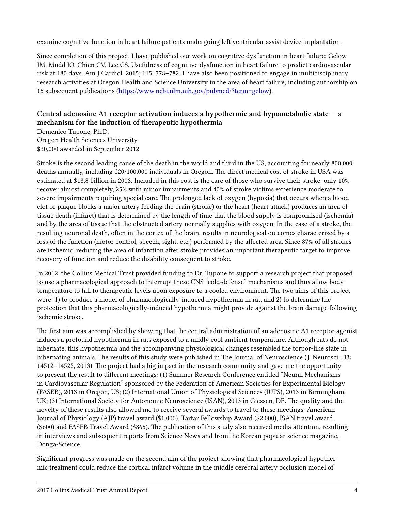examine cognitive function in heart failure patients undergoing left ventricular assist device implantation.

Since completion of this project, I have published our work on cognitive dysfunction in heart failure: Gelow JM, Mudd JO, Chien CV, Lee CS. Usefulness of cognitive dysfunction in heart failure to predict cardiovascular risk at 180 days. Am J Cardiol. 2015; 115: 778–782. I have also been positioned to engage in multidisciplinary research activities at Oregon Health and Science University in the area of heart failure, including authorship on 15 subsequent publications([https://www.ncbi.nlm.nih.gov/pubmed/?term=gelow\)](https://www.ncbi.nlm.nih.gov/pubmed/?term=gelow).

#### **Central adenosine A1 receptor activation induces a hypothermic and hypometabolic state — a mechanism for the induction of therapeutic hypothermia**

Domenico Tupone, Ph.D. Oregon Health Sciences University \$30,000 awarded in September 2012

Stroke is the second leading cause of the death in the world and third in the US, accounting for nearly 800,000 deaths annually, including 1̃20/100,000 individuals in Oregon. The direct medical cost of stroke in USA was estimated at \$18.8 billion in 2008. Included in this cost is the care of those who survive their stroke: only 10% recover almost completely, 25% with minor impairments and 40% of stroke victims experience moderate to severe impairments requiring special care. The prolonged lack of oxygen (hypoxia) that occurs when a blood clot or plaque blocks a major artery feeding the brain (stroke) or the heart (heart attack) produces an area of tissue death (infarct) that is determined by the length of time that the blood supply is compromised (ischemia) and by the area of tissue that the obstructed artery normally supplies with oxygen. In the case of a stroke, the resulting neuronal death, often in the cortex of the brain, results in neurological outcomes characterized by a loss of the function (motor control, speech, sight, etc.) performed by the affected area. Since 87% of all strokes are ischemic, reducing the area of infarction after stroke provides an important therapeutic target to improve recovery of function and reduce the disability consequent to stroke.

In 2012, the Collins Medical Trust provided funding to Dr. Tupone to support a research project that proposed to use a pharmacological approach to interrupt these CNS "cold-defense" mechanisms and thus allow body temperature to fall to therapeutic levels upon exposure to a cooled environment. The two aims of this project were: 1) to produce a model of pharmacologically-induced hypothermia in rat, and 2) to determine the protection that this pharmacologically-induced hypothermia might provide against the brain damage following ischemic stroke.

The first aim was accomplished by showing that the central administration of an adenosine A1 receptor agonist induces a profound hypothermia in rats exposed to a mildly cool ambient temperature. Although rats do not hibernate, this hypothermia and the accompanying physiological changes resembled the torpor-like state in hibernating animals. The results of this study were published in The Journal of Neuroscience (J. Neurosci., 33: 14512–14525, 2013). The project had a big impact in the research community and gave me the opportunity to present the result to different meetings: (1) Summer Research Conference entitled "Neural Mechanisms in Cardiovascular Regulation" sponsored by the Federation of American Societies for Experimental Biology (FASEB), 2013 in Oregon, US; (2) International Union of Physiological Sciences (IUPS), 2013 in Birmingham, UK; (3) International Society for Autonomic Neuroscience (ISAN), 2013 in Giessen, DE. The quality and the novelty of these results also allowed me to receive several awards to travel to these meetings: American Journal of Physiology (AJP) travel award (\$1,000), Tartar Fellowship Award (\$2,000), ISAN travel award (\$600) and FASEB Travel Award (\$865). The publication of this study also received media attention, resulting in interviews and subsequent reports from Science News and from the Korean popular science magazine, Donga-Science.

Significant progress was made on the second aim of the project showing that pharmacological hypothermic treatment could reduce the cortical infarct volume in the middle cerebral artery occlusion model of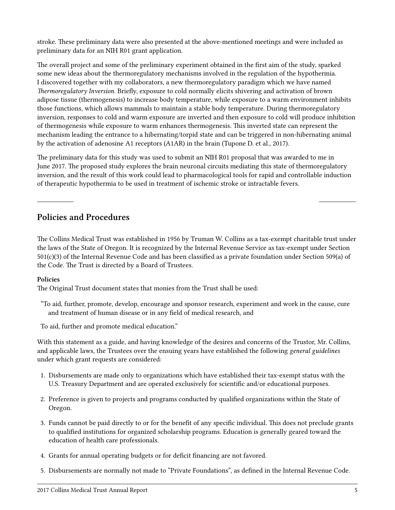stroke. These preliminary data were also presented at the above-mentioned meetings and were included as preliminary data for an NIH R01 grant application.

The overall project and some of the preliminary experiment obtained in the first aim of the study, sparked some new ideas about the thermoregulatory mechanisms involved in the regulation of the hypothermia. I discovered together with my collaborators, a new thermoregulatory paradigm which we have named *Thermoregulatory Inversion*. Briefly, exposure to cold normally elicits shivering and activation of brown adipose tissue (thermogenesis) to increase body temperature, while exposure to a warm environment inhibits those functions, which allows mammals to maintain a stable body temperature. During thermoregulatory inversion, responses to cold and warm exposure are inverted and then exposure to cold will produce inhibition of thermogenesis while exposure to warm enhances thermogenesis. This inverted state can represent the mechanism leading the entrance to a hibernating/torpid state and can be triggered in non-hibernating animal by the activation of adenosine A1 receptors (A1AR) in the brain (Tupone D. et al., 2017).

The preliminary data for this study was used to submit an NIH R01 proposal that was awarded to me in June 2017. The proposed study explores the brain neuronal circuits mediating this state of thermoregulatory inversion, and the result of this work could lead to pharmacological tools for rapid and controllable induction of therapeutic hypothermia to be used in treatment of ischemic stroke or intractable fevers.

#### **Policies and Procedures**

The Collins Medical Trust was established in 1956 by Truman W. Collins as a tax-exempt charitable trust under the laws of the State of Oregon. It is recognized by the Internal Revenue Service as tax-exempt under Section 501(c)(3) of the Internal Revenue Code and has been classified as a private foundation under Section 509(a) of the Code. The Trust is directed by a Board of Trustees.

#### **Policies**

The Original Trust document states that monies from the Trust shall be used:

"To aid, further, promote, develop, encourage and sponsor research, experiment and work in the cause, cure and treatment of human disease or in any field of medical research, and

To aid, further and promote medical education."

With this statement as a guide, and having knowledge of the desires and concerns of the Trustor, Mr. Collins, and applicable laws, the Trustees over the ensuing years have established the following *general guidelines* under which grant requests are considered:

- 1. Disbursements are made only to organizations which have established their tax-exempt status with the U.S. Treasury Department and are operated exclusively for scientific and/or educational purposes.
- 2. Preference is given to projects and programs conducted by qualified organizations within the State of Oregon.
- 3. Funds cannot be paid directly to or for the benefit of any specific individual. This does not preclude grants to qualified institutions for organized scholarship programs. Education is generally geared toward the education of health care professionals.
- 4. Grants for annual operating budgets or for deficit financing are not favored.
- 5. Disbursements are normally not made to "Private Foundations", as defined in the Internal Revenue Code.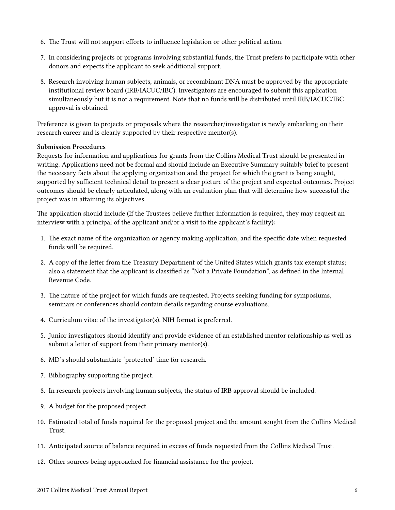- 6. The Trust will not support efforts to influence legislation or other political action.
- 7. In considering projects or programs involving substantial funds, the Trust prefers to participate with other donors and expects the applicant to seek additional support.
- 8. Research involving human subjects, animals, or recombinant DNA must be approved by the appropriate institutional review board (IRB/IACUC/IBC). Investigators are encouraged to submit this application simultaneously but it is not a requirement. Note that no funds will be distributed until IRB/IACUC/IBC approval is obtained.

Preference is given to projects or proposals where the researcher/investigator is newly embarking on their research career and is clearly supported by their respective mentor(s).

#### **Submission Procedures**

Requests for information and applications for grants from the Collins Medical Trust should be presented in writing. Applications need not be formal and should include an Executive Summary suitably brief to present the necessary facts about the applying organization and the project for which the grant is being sought, supported by sufficient technical detail to present a clear picture of the project and expected outcomes. Project outcomes should be clearly articulated, along with an evaluation plan that will determine how successful the project was in attaining its objectives.

The application should include (If the Trustees believe further information is required, they may request an interview with a principal of the applicant and/or a visit to the applicant's facility):

- 1. The exact name of the organization or agency making application, and the specific date when requested funds will be required.
- 2. A copy of the letter from the Treasury Department of the United States which grants tax exempt status; also a statement that the applicant is classified as "Not a Private Foundation", as defined in the Internal Revenue Code.
- 3. The nature of the project for which funds are requested. Projects seeking funding for symposiums, seminars or conferences should contain details regarding course evaluations.
- 4. Curriculum vitae of the investigator(s). NIH format is preferred.
- 5. Junior investigators should identify and provide evidence of an established mentor relationship as well as submit a letter of support from their primary mentor(s).
- 6. MD's should substantiate 'protected' time for research.
- 7. Bibliography supporting the project.
- 8. In research projects involving human subjects, the status of IRB approval should be included.
- 9. A budget for the proposed project.
- 10. Estimated total of funds required for the proposed project and the amount sought from the Collins Medical Trust.
- 11. Anticipated source of balance required in excess of funds requested from the Collins Medical Trust.
- 12. Other sources being approached for financial assistance for the project.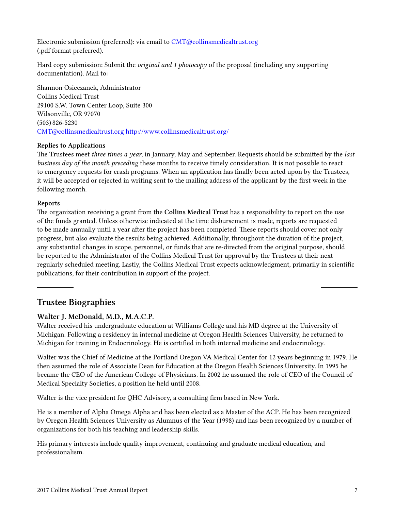Electronic submission (preferred): via email to [CMT@collinsmedicaltrust.org](mailto:CMT@collinsmedicaltrust.org) (.pdf format preferred).

Hard copy submission: Submit the *original and 1 photocopy* of the proposal (including any supporting documentation). Mail to:

Shannon Osieczanek, Administrator Collins Medical Trust 29100 S.W. Town Center Loop, Suite 300 Wilsonville, OR 97070 (503) 826-5230 [CMT@collinsmedicaltrust.org](mailto:CMT@collinsmedicaltrust.org) <http://www.collinsmedicaltrust.org/>

#### **Replies to Applications**

The Trustees meet *three times a year*, in January, May and September. Requests should be submitted by the *last business day of the month preceding* these months to receive timely consideration. It is not possible to react to emergency requests for crash programs. When an application has finally been acted upon by the Trustees, it will be accepted or rejected in writing sent to the mailing address of the applicant by the first week in the following month.

#### **Reports**

The organization receiving a grant from the **Collins Medical Trust** has a responsibility to report on the use of the funds granted. Unless otherwise indicated at the time disbursement is made, reports are requested to be made annually until a year after the project has been completed. These reports should cover not only progress, but also evaluate the results being achieved. Additionally, throughout the duration of the project, any substantial changes in scope, personnel, or funds that are re-directed from the original purpose, should be reported to the Administrator of the Collins Medical Trust for approval by the Trustees at their next regularly scheduled meeting. Lastly, the Collins Medical Trust expects acknowledgment, primarily in scientific publications, for their contribution in support of the project.

#### **Trustee Biographies**

#### **Walter J. McDonald, M.D., M.A.C.P.**

Walter received his undergraduate education at Williams College and his MD degree at the University of Michigan. Following a residency in internal medicine at Oregon Health Sciences University, he returned to Michigan for training in Endocrinology. He is certified in both internal medicine and endocrinology.

Walter was the Chief of Medicine at the Portland Oregon VA Medical Center for 12 years beginning in 1979. He then assumed the role of Associate Dean for Education at the Oregon Health Sciences University. In 1995 he became the CEO of the American College of Physicians. In 2002 he assumed the role of CEO of the Council of Medical Specialty Societies, a position he held until 2008.

Walter is the vice president for QHC Advisory, a consulting firm based in New York.

He is a member of Alpha Omega Alpha and has been elected as a Master of the ACP. He has been recognized by Oregon Health Sciences University as Alumnus of the Year (1998) and has been recognized by a number of organizations for both his teaching and leadership skills.

His primary interests include quality improvement, continuing and graduate medical education, and professionalism.